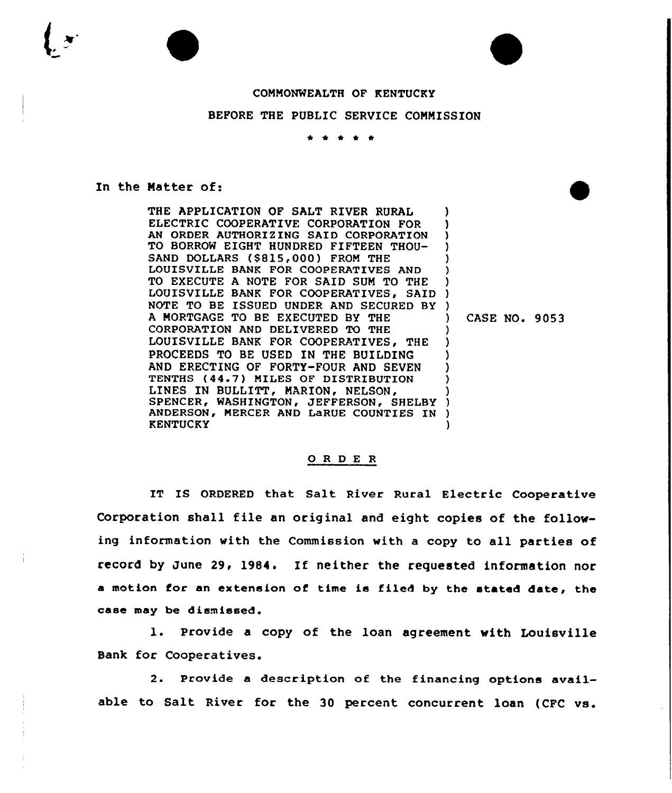## COMMONWEALTH OF KENTUCKY

## BEFORE THE PUBLIC SERVICE COMMISSION

## In the Natter of:

THE APPLICATION OF SALT RIVER RURAL ELECTRIC COOPERATIVE CORPORATION FOR AN ORDER AUTHORIZING SAID CORPORATION TO BORROW EIGHT HUNDRED FIFTEEN THOU-SAND DOLLARS (\$815,000) FROM THE LOUISVILLE BANK FOR COOPERATIVES AND TO EXECUTE A NOTE FOR SAID SUM TO THE LOUISVILLE BANK FOR COOPERATIVES, SAID NOTE TO BE ISSUED UNDER AND SECURED BY ) A NORTGAGE TO BE EXECUTED BY THE CORPORATION AND DELIVERED TO THE LOUISVILLE BANK FOR COOPERATIVES, THE PROCEEDS TO BE USED IN THE BUILDING AND ERECTING OF FORTY-FOUR AND SEVEN TENTHS (44 7) MILES OF DISTRIBUTION LINES IN BULLITT, MARION, NELSON, LINES IN BULLITT, MARION, NELSON, )<br>SPENCER, WASHINGTON, JEFFERSON, SHELBY ) ANDERSON, MERCER AND LaRUE COUNTIES IN **KENTUCKY** ) ) ) ) ) ) ) ) ) ) ) ) ) ) ) )

) CASE NO. 9053

## 0 <sup>R</sup> <sup>D</sup> E <sup>R</sup>

IT IS ORDERED that Salt River Rural Electric Cooperative Corporation shall file an original and eight copies of the following information with the Commission with a copy to all parties of record by June 29, 1984. If neither the requested information nor a motion for an extension of time is filed by the stated date, the case may be dismissed.

1. Provide <sup>a</sup> copy of the loan agreement with Louisville Bank for Cooperatives.

2. Provide a description of the financing options available to Salt River for the 30 percent concurrent loan (CFC vs.